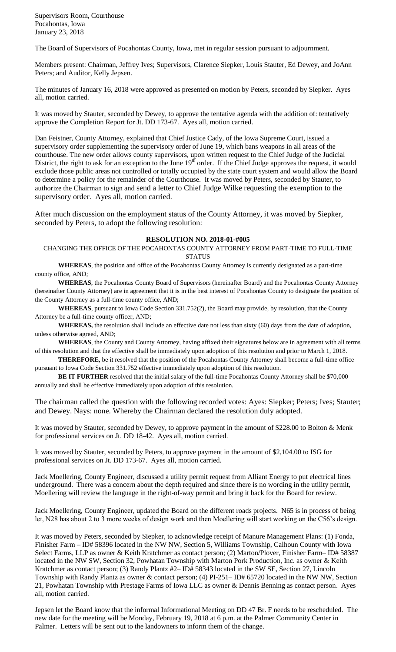Supervisors Room, Courthouse Pocahontas, Iowa January 23, 2018

The Board of Supervisors of Pocahontas County, Iowa, met in regular session pursuant to adjournment.

Members present: Chairman, Jeffrey Ives; Supervisors, Clarence Siepker, Louis Stauter, Ed Dewey, and JoAnn Peters; and Auditor, Kelly Jepsen.

The minutes of January 16, 2018 were approved as presented on motion by Peters, seconded by Siepker. Ayes all, motion carried.

It was moved by Stauter, seconded by Dewey, to approve the tentative agenda with the addition of: tentatively approve the Completion Report for Jt. DD 173-67. Ayes all, motion carried.

Dan Feistner, County Attorney, explained that Chief Justice Cady, of the Iowa Supreme Court, issued a supervisory order supplementing the supervisory order of June 19, which bans weapons in all areas of the courthouse. The new order allows county supervisors, upon written request to the Chief Judge of the Judicial District, the right to ask for an exception to the June  $19<sup>th</sup>$  order. If the Chief Judge approves the request, it would exclude those public areas not controlled or totally occupied by the state court system and would allow the Board to determine a policy for the remainder of the Courthouse. It was moved by Peters, seconded by Stauter, to authorize the Chairman to sign and send a letter to Chief Judge Wilke requesting the exemption to the supervisory order. Ayes all, motion carried.

After much discussion on the employment status of the County Attorney, it was moved by Siepker, seconded by Peters, to adopt the following resolution:

## **RESOLUTION NO. 2018-01-#005**

CHANGING THE OFFICE OF THE POCAHONTAS COUNTY ATTORNEY FROM PART-TIME TO FULL-TIME **STATUS** 

**WHEREAS**, the position and office of the Pocahontas County Attorney is currently designated as a part-time county office, AND;

**WHEREAS**, the Pocahontas County Board of Supervisors (hereinafter Board) and the Pocahontas County Attorney (hereinafter County Attorney) are in agreement that it is in the best interest of Pocahontas County to designate the position of the County Attorney as a full-time county office, AND;

**WHEREAS**, pursuant to Iowa Code Section 331.752(2), the Board may provide, by resolution, that the County Attorney be a full-time county officer, AND;

**WHEREAS,** the resolution shall include an effective date not less than sixty (60) days from the date of adoption, unless otherwise agreed, AND;

**WHEREAS**, the County and County Attorney, having affixed their signatures below are in agreement with all terms of this resolution and that the effective shall be immediately upon adoption of this resolution and prior to March 1, 2018.

**THEREFORE,** be it resolved that the position of the Pocahontas County Attorney shall become a full-time office pursuant to Iowa Code Section 331.752 effective immediately upon adoption of this resolution.

**BE IT FURTHER** resolved that the initial salary of the full-time Pocahontas County Attorney shall be \$70,000 annually and shall be effective immediately upon adoption of this resolution.

The chairman called the question with the following recorded votes: Ayes: Siepker; Peters; Ives; Stauter; and Dewey. Nays: none. Whereby the Chairman declared the resolution duly adopted.

It was moved by Stauter, seconded by Dewey, to approve payment in the amount of \$228.00 to Bolton & Menk for professional services on Jt. DD 18-42. Ayes all, motion carried.

It was moved by Stauter, seconded by Peters, to approve payment in the amount of \$2,104.00 to ISG for professional services on Jt. DD 173-67. Ayes all, motion carried.

Jack Moellering, County Engineer, discussed a utility permit request from Alliant Energy to put electrical lines underground. There was a concern about the depth required and since there is no wording in the utility permit, Moellering will review the language in the right-of-way permit and bring it back for the Board for review.

Jack Moellering, County Engineer, updated the Board on the different roads projects. N65 is in process of being let, N28 has about 2 to 3 more weeks of design work and then Moellering will start working on the C56's design.

It was moved by Peters, seconded by Siepker, to acknowledge receipt of Manure Management Plans: (1) Fonda, Finisher Farm – ID# 58396 located in the NW NW, Section 5, Williams Township, Calhoun County with Iowa Select Farms, LLP as owner & Keith Kratchmer as contact person; (2) Marton/Plover, Finisher Farm– ID# 58387 located in the NW SW, Section 32, Powhatan Township with Marton Pork Production, Inc. as owner & Keith Kratchmer as contact person; (3) Randy Plantz #2– ID# 58343 located in the SW SE, Section 27, Lincoln Township with Randy Plantz as owner & contact person; (4) PI-251– ID# 65720 located in the NW NW, Section 21, Powhatan Township with Prestage Farms of Iowa LLC as owner & Dennis Benning as contact person. Ayes all, motion carried.

Jepsen let the Board know that the informal Informational Meeting on DD 47 Br. F needs to be rescheduled. The new date for the meeting will be Monday, February 19, 2018 at 6 p.m. at the Palmer Community Center in Palmer. Letters will be sent out to the landowners to inform them of the change.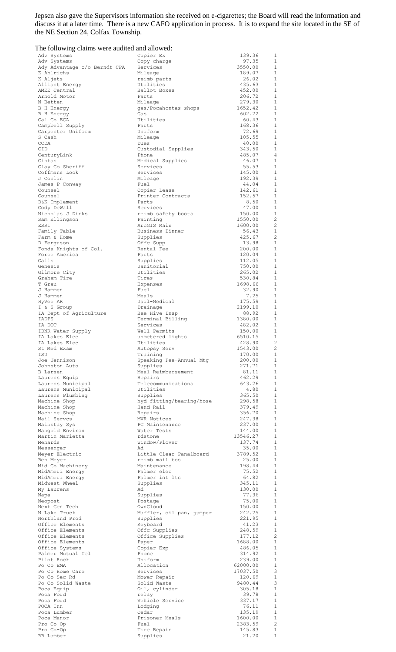Jepsen also gave the Supervisors information she received on e-cigarettes; the Board will read the information and discuss it at a later time. There is a new CAFO application in process. It is to expand the site located in the SE of the NE Section 24, Colfax Township.

| The following claims were audited and allowed: |                                       |                    |                                  |
|------------------------------------------------|---------------------------------------|--------------------|----------------------------------|
| Adv Systems                                    | Copier Ex                             | 139.36             | 1                                |
| Adv Systems<br>Ady Advantage c/o Berndt CPA    | Copy charge<br>Services               | 97.35<br>3550.00   | 1<br>$\mathbf{1}$                |
| E Ahlrichs                                     | Mileage                               | 189.07             | $\mathbf{1}$                     |
| K Aljets                                       | reimb parts                           | 26.02              | $\mathbf{1}$                     |
| Alliant Energy<br>AMEE Central                 | Utilities<br>Ballot Boxes             | 435.63<br>452.00   | $\mathbf{1}$<br>$\mathbf{1}$     |
| Arnold Motor                                   | Parts                                 | 206.72             | $\mathbf{1}$                     |
| N Betten                                       | Mileage                               | 279.30             | $\mathbf{1}$                     |
| <b>B</b> H Energy                              | gas/Pocahontas shops                  | 1652.42<br>602.22  | $\mathbf{1}$<br>$\mathbf{1}$     |
| B H Energy<br>Cal Co ECA                       | Gas<br>Utilities                      | 60.43              | $\mathbf{1}$                     |
| Campbell Supply                                | Parts                                 | 168.36             | $\mathbf{1}$                     |
| Carpenter Uniform                              | Uniform                               | 72.69              | $\mathbf{1}$                     |
| S Cash<br><b>CCDA</b>                          | Mileage<br>Dues                       | 105.55<br>40.00    | $\mathbf{1}$<br>$\mathbf{1}$     |
| CID                                            | Custodial Supplies                    | 343.50             | $\mathbf{1}$                     |
| CenturyLink                                    | Phone                                 | 485.07             | $\overline{4}$                   |
| Cintas                                         | Medical Supplies                      | 46.07<br>55.53     | $\mathbf{1}$<br>$\mathbf{1}$     |
| Clay Co Sheriff<br>Coffmans Lock               | Services<br>Services                  | 145.00             | $\mathbf{1}$                     |
| J Conlin                                       | Mileage                               | 192.39             | $\mathbf{1}$                     |
| James P Conway                                 | Fuel                                  | 44.04              | $\mathbf{1}$                     |
| Counsel<br>Counsel                             | Copier Lease<br>Printer Contracts     | 142.61<br>152.57   | 1<br>$\mathbf{1}$                |
| D&K Implement                                  | Parts                                 | 8.50               | 1                                |
| Cody DeWall                                    | Services                              | 47.00              | 1                                |
| Nicholas J Dirks                               | reimb safety boots                    | 150.00             | $\mathbf{1}$                     |
| Sam Ellingson<br>ESRI                          | Painting<br>ArcGIS Main               | 1550.00<br>1600.00 | $\overline{c}$<br>$\overline{c}$ |
| Family Table                                   | Business Dinner                       | 56.43              | $\mathbf{1}$                     |
| Farm & Home                                    | Supplies                              | 425.67             | 2                                |
| D Ferguson                                     | Offc Supp                             | 13.98              | $\mathbf{1}$                     |
| Fonda Knights of Col.<br>Force America         | Rental Fee<br>Parts                   | 200.00             | $\mathbf{1}$<br>$\mathbf{1}$     |
| Galls                                          | Supplies                              | 120.04<br>112.05   | $\mathbf{1}$                     |
| Genesis                                        | Janitorial                            | 750.00             | 1                                |
| Gilmore City                                   | Utilities                             | 265.02             | $\mathbf{1}$                     |
| Graham Tire                                    | Tires                                 | 530.84             | 1                                |
| T Grau<br>J Hammen                             | Expenses<br>Fuel                      | 1698.66<br>32.90   | 1<br>1                           |
| J Hammen                                       | Meals                                 | 7.25               | $\mathbf{1}$                     |
| HyVee AR                                       | Jail-Medical                          | 175.59             | $\mathbf{1}$                     |
| I & S Group                                    | Drainage                              | 2199.10            | $\mathbf{1}$                     |
| IA Dept of Agriculture<br>IADPS                | Bee Hive Insp<br>Terminal Billing     | 88.92<br>1380.00   | $\mathbf{1}$<br>1                |
| IA DOT                                         | Services                              | 482.02             | $\mathbf{1}$                     |
| IDNR Water Supply                              | Well Permits                          | 150.00             | $\mathbf{1}$                     |
| IA Lakes Elec                                  | unmetered lights                      | 6510.15            | 1                                |
| IA Lakes Elec<br>St Med Exam                   | Utilities<br>Autopsy Serv             | 428.90<br>1543.00  | $\overline{c}$<br>-2             |
| ISU                                            | Training                              | 170.00             | $\mathbf{1}$                     |
| Joe Jennison                                   | Speaking Fee-Annual Mtg               | 200.00             | $\mathbf{1}$                     |
| Johnston Auto                                  | Supplies                              | 271.71             | $\mathbf{1}$                     |
| <b>B</b> Larsen                                | Meal Reimbursement                    | 81.11<br>462.29    | 1<br>$\mathbf{1}$                |
| Laurens Equip<br>Laurens Municipal             | Repairs<br>Telecommunications         | 643.26             | $\mathbf{1}$                     |
| Laurens Municipal                              | Utilities                             | 4.80               | $\mathbf{1}$                     |
| Laurens Plumbing                               | Supplies                              | 365.50             | $\mathbf{1}$                     |
| Machine Shop                                   | hyd fitting/bearing/hose<br>Hand Rail | 298.58<br>379.49   | $\mathbf{1}$<br>$\mathbf{1}$     |
| Machine Shop<br>Machine Shop                   | Repairs                               | 356.70             | $\mathbf{1}$                     |
| Mail Servcs                                    | MVR Notices                           | 247.38             | $\mathbf{1}$                     |
| Mainstay Sys                                   | PC Maintenance                        | 237.00             | $\mathbf{1}$                     |
| Mangold Environ                                | Water Tests                           | 144.00             | $\mathbf{1}$<br>$\mathbf{1}$     |
| Martin Marietta<br>Menards                     | rdstone<br>window/Plover              | 13546.27<br>137.74 | $\mathbf{1}$                     |
| Messenger                                      | Ad                                    | 35.00              | $\mathbf{1}$                     |
| Meyer Electric                                 | Little Clear Panalboard               | 3789.52            | $\mathbf{1}$                     |
| Ben Meyer                                      | reimb mail bos                        | 25.00              | 1                                |
| Mid Co Machinery<br>MidAmeri Energy            | Maintenance<br>Palmer elec            | 198.44<br>75.52    | 1<br>$\mathbf{1}$                |
| MidAmeri Energy                                | Palmer int lts                        | 64.82              | 1                                |
| Midwest Wheel                                  | Supplies                              | 345.11             | 1                                |
| My Laurens                                     | Ad                                    | 130.00             | <sup>1</sup>                     |
| Napa<br>Neopost                                | Supplies<br>Postage                   | 77.36<br>75.00     | 1<br>$\mathbf{1}$                |
| Next Gen Tech                                  | OwnCloud                              | 150.00             | 1                                |
| N Lake Truck                                   | Muffler, oil pan, jumper              | 242.25             | $\mathbf{1}$                     |
| Northland Prod                                 | Supplies                              | 221.95             | 1                                |
| Office Elements<br>Office Elements             | Keyboard<br>Offc Supplies             | 41.23<br>248.59    | $\mathbf{1}$<br>1                |
| Office Elements                                | Office Supplies                       | 177.12             | $\overline{c}$                   |
| Office Elements                                | Paper                                 | 1688.00            | 1                                |
| Office Systems                                 | Copier Exp                            | 486.05             | 1                                |
| Palmer Mutual Tel<br>Pilot Rock                | Phone<br>Uniform                      | 314.92<br>239.00   | 1<br>$\mathbf{1}$                |
| Po Co EMA                                      | Allocation                            | 62000.00           | 1                                |
| Po Co Home Care                                | Services                              | 17037.50           | 3                                |
| Po Co Sec Rd                                   | Mower Repair                          | 120.69             | $\mathbf{1}$                     |
| Po Co Solid Waste<br>Poca Equip                | Solid Waste                           | 9480.44<br>305.18  | 3<br>1                           |
| Poca Ford                                      | Oil, cylinder<br>relay                | 39.78              | 1                                |
| Poca Ford                                      | Vehicle Service                       | 337.17             | 1                                |
| POCA Inn                                       | Lodging                               | 76.11              | $\mathbf{1}$                     |
| Poca Lumber                                    | Cedar                                 | 135.19             | 1                                |
| Poca Manor<br>Pro Co-Op                        | Prisoner Meals<br>Fuel                | 1600.00<br>2383.59 | 1<br>$\sqrt{2}$                  |
| Pro Co-Op                                      | Tire Repair                           | 145.83             | $1\,$                            |
| RB Lumber                                      | Supplies                              | 21.20              | $1\,$                            |